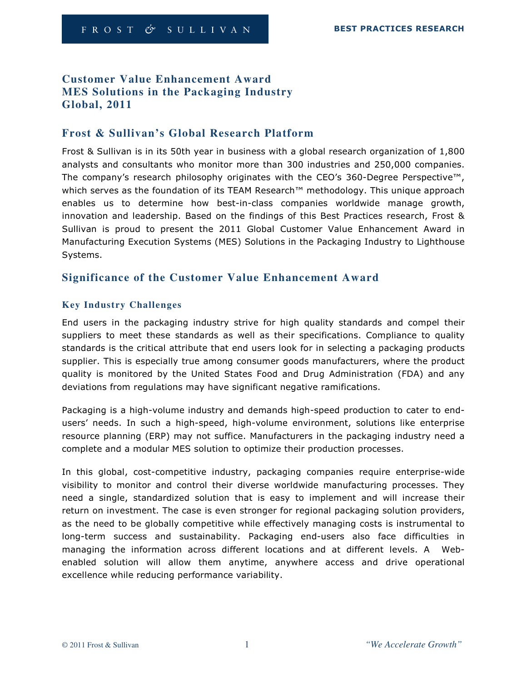# **Customer Value Enhancement Award MES Solutions in the Packaging Industry Global, 2011**

# **Frost & Sullivan's Global Research Platform**

Frost & Sullivan is in its 50th year in business with a global research organization of 1,800 analysts and consultants who monitor more than 300 industries and 250,000 companies. The company's research philosophy originates with the CEO's 360-Degree Perspective™, which serves as the foundation of its TEAM Research™ methodology. This unique approach enables us to determine how best-in-class companies worldwide manage growth, innovation and leadership. Based on the findings of this Best Practices research, Frost & Sullivan is proud to present the 2011 Global Customer Value Enhancement Award in Manufacturing Execution Systems (MES) Solutions in the Packaging Industry to Lighthouse Systems.

# **Significance of the Customer Value Enhancement Award**

## **Key Industry Challenges**

End users in the packaging industry strive for high quality standards and compel their suppliers to meet these standards as well as their specifications. Compliance to quality standards is the critical attribute that end users look for in selecting a packaging products supplier. This is especially true among consumer goods manufacturers, where the product quality is monitored by the United States Food and Drug Administration (FDA) and any deviations from regulations may have significant negative ramifications.

Packaging is a high-volume industry and demands high-speed production to cater to endusers' needs. In such a high-speed, high-volume environment, solutions like enterprise resource planning (ERP) may not suffice. Manufacturers in the packaging industry need a complete and a modular MES solution to optimize their production processes.

In this global, cost-competitive industry, packaging companies require enterprise-wide visibility to monitor and control their diverse worldwide manufacturing processes. They need a single, standardized solution that is easy to implement and will increase their return on investment. The case is even stronger for regional packaging solution providers, as the need to be globally competitive while effectively managing costs is instrumental to long-term success and sustainability. Packaging end-users also face difficulties in managing the information across different locations and at different levels. A Webenabled solution will allow them anytime, anywhere access and drive operational excellence while reducing performance variability.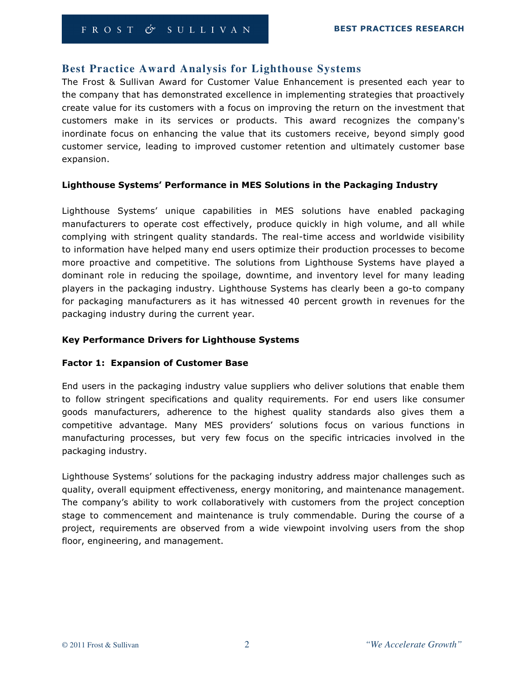## **Best Practice Award Analysis for Lighthouse Systems**

The Frost & Sullivan Award for Customer Value Enhancement is presented each year to the company that has demonstrated excellence in implementing strategies that proactively create value for its customers with a focus on improving the return on the investment that customers make in its services or products. This award recognizes the company's inordinate focus on enhancing the value that its customers receive, beyond simply good customer service, leading to improved customer retention and ultimately customer base expansion.

#### Lighthouse Systems' Performance in MES Solutions in the Packaging Industry

Lighthouse Systems' unique capabilities in MES solutions have enabled packaging manufacturers to operate cost effectively, produce quickly in high volume, and all while complying with stringent quality standards. The real-time access and worldwide visibility to information have helped many end users optimize their production processes to become more proactive and competitive. The solutions from Lighthouse Systems have played a dominant role in reducing the spoilage, downtime, and inventory level for many leading players in the packaging industry. Lighthouse Systems has clearly been a go-to company for packaging manufacturers as it has witnessed 40 percent growth in revenues for the packaging industry during the current year.

#### Key Performance Drivers for Lighthouse Systems

#### Factor 1: Expansion of Customer Base

End users in the packaging industry value suppliers who deliver solutions that enable them to follow stringent specifications and quality requirements. For end users like consumer goods manufacturers, adherence to the highest quality standards also gives them a competitive advantage. Many MES providers' solutions focus on various functions in manufacturing processes, but very few focus on the specific intricacies involved in the packaging industry.

Lighthouse Systems' solutions for the packaging industry address major challenges such as quality, overall equipment effectiveness, energy monitoring, and maintenance management. The company's ability to work collaboratively with customers from the project conception stage to commencement and maintenance is truly commendable. During the course of a project, requirements are observed from a wide viewpoint involving users from the shop floor, engineering, and management.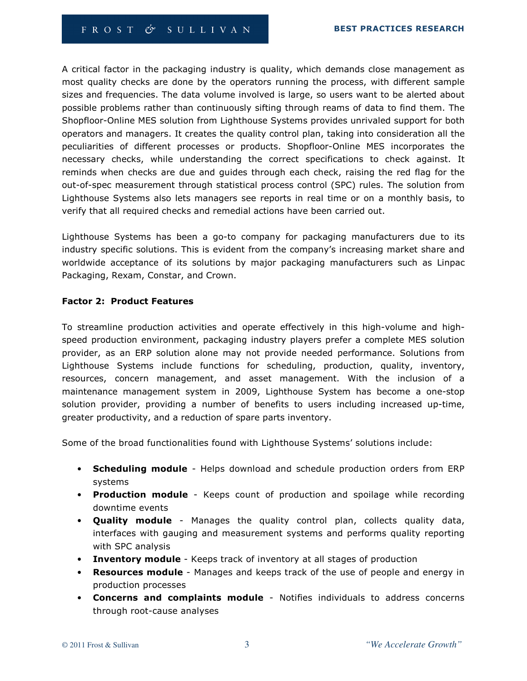A critical factor in the packaging industry is quality, which demands close management as most quality checks are done by the operators running the process, with different sample sizes and frequencies. The data volume involved is large, so users want to be alerted about possible problems rather than continuously sifting through reams of data to find them. The Shopfloor-Online MES solution from Lighthouse Systems provides unrivaled support for both operators and managers. It creates the quality control plan, taking into consideration all the peculiarities of different processes or products. Shopfloor-Online MES incorporates the necessary checks, while understanding the correct specifications to check against. It reminds when checks are due and guides through each check, raising the red flag for the out-of-spec measurement through statistical process control (SPC) rules. The solution from Lighthouse Systems also lets managers see reports in real time or on a monthly basis, to verify that all required checks and remedial actions have been carried out.

Lighthouse Systems has been a go-to company for packaging manufacturers due to its industry specific solutions. This is evident from the company's increasing market share and worldwide acceptance of its solutions by major packaging manufacturers such as Linpac Packaging, Rexam, Constar, and Crown.

#### Factor 2: Product Features

To streamline production activities and operate effectively in this high-volume and highspeed production environment, packaging industry players prefer a complete MES solution provider, as an ERP solution alone may not provide needed performance. Solutions from Lighthouse Systems include functions for scheduling, production, quality, inventory, resources, concern management, and asset management. With the inclusion of a maintenance management system in 2009, Lighthouse System has become a one-stop solution provider, providing a number of benefits to users including increased up-time, greater productivity, and a reduction of spare parts inventory.

Some of the broad functionalities found with Lighthouse Systems' solutions include:

- Scheduling module Helps download and schedule production orders from ERP systems
- Production module Keeps count of production and spoilage while recording downtime events
- Quality module Manages the quality control plan, collects quality data, interfaces with gauging and measurement systems and performs quality reporting with SPC analysis
- Inventory module Keeps track of inventory at all stages of production
- Resources module Manages and keeps track of the use of people and energy in production processes
- Concerns and complaints module Notifies individuals to address concerns through root-cause analyses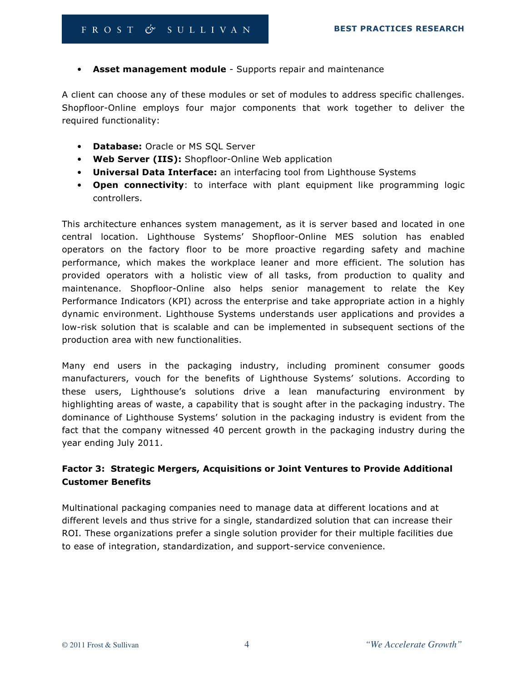• Asset management module - Supports repair and maintenance

A client can choose any of these modules or set of modules to address specific challenges. Shopfloor-Online employs four major components that work together to deliver the required functionality:

- Database: Oracle or MS SQL Server
- Web Server (IIS): Shopfloor-Online Web application
- Universal Data Interface: an interfacing tool from Lighthouse Systems
- Open connectivity: to interface with plant equipment like programming logic controllers.

This architecture enhances system management, as it is server based and located in one central location. Lighthouse Systems' Shopfloor-Online MES solution has enabled operators on the factory floor to be more proactive regarding safety and machine performance, which makes the workplace leaner and more efficient. The solution has provided operators with a holistic view of all tasks, from production to quality and maintenance. Shopfloor-Online also helps senior management to relate the Key Performance Indicators (KPI) across the enterprise and take appropriate action in a highly dynamic environment. Lighthouse Systems understands user applications and provides a low-risk solution that is scalable and can be implemented in subsequent sections of the production area with new functionalities.

Many end users in the packaging industry, including prominent consumer goods manufacturers, vouch for the benefits of Lighthouse Systems' solutions. According to these users, Lighthouse's solutions drive a lean manufacturing environment by highlighting areas of waste, a capability that is sought after in the packaging industry. The dominance of Lighthouse Systems' solution in the packaging industry is evident from the fact that the company witnessed 40 percent growth in the packaging industry during the year ending July 2011.

# Factor 3: Strategic Mergers, Acquisitions or Joint Ventures to Provide Additional Customer Benefits

Multinational packaging companies need to manage data at different locations and at different levels and thus strive for a single, standardized solution that can increase their ROI. These organizations prefer a single solution provider for their multiple facilities due to ease of integration, standardization, and support-service convenience.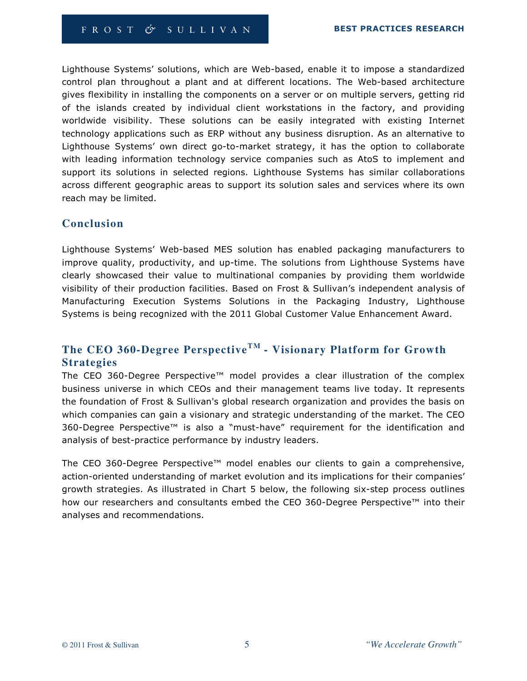Lighthouse Systems' solutions, which are Web-based, enable it to impose a standardized control plan throughout a plant and at different locations. The Web-based architecture gives flexibility in installing the components on a server or on multiple servers, getting rid of the islands created by individual client workstations in the factory, and providing worldwide visibility. These solutions can be easily integrated with existing Internet technology applications such as ERP without any business disruption. As an alternative to Lighthouse Systems' own direct go-to-market strategy, it has the option to collaborate with leading information technology service companies such as AtoS to implement and support its solutions in selected regions. Lighthouse Systems has similar collaborations across different geographic areas to support its solution sales and services where its own reach may be limited.

# **Conclusion**

Lighthouse Systems' Web-based MES solution has enabled packaging manufacturers to improve quality, productivity, and up-time. The solutions from Lighthouse Systems have clearly showcased their value to multinational companies by providing them worldwide visibility of their production facilities. Based on Frost & Sullivan's independent analysis of Manufacturing Execution Systems Solutions in the Packaging Industry, Lighthouse Systems is being recognized with the 2011 Global Customer Value Enhancement Award.

# **The CEO 360-Degree PerspectiveTM - Visionary Platform for Growth Strategies**

The CEO 360-Degree Perspective™ model provides a clear illustration of the complex business universe in which CEOs and their management teams live today. It represents the foundation of Frost & Sullivan's global research organization and provides the basis on which companies can gain a visionary and strategic understanding of the market. The CEO 360-Degree Perspective™ is also a "must-have" requirement for the identification and analysis of best-practice performance by industry leaders.

The CEO 360-Degree Perspective™ model enables our clients to gain a comprehensive, action-oriented understanding of market evolution and its implications for their companies' growth strategies. As illustrated in Chart 5 below, the following six-step process outlines how our researchers and consultants embed the CEO 360-Degree Perspective™ into their analyses and recommendations.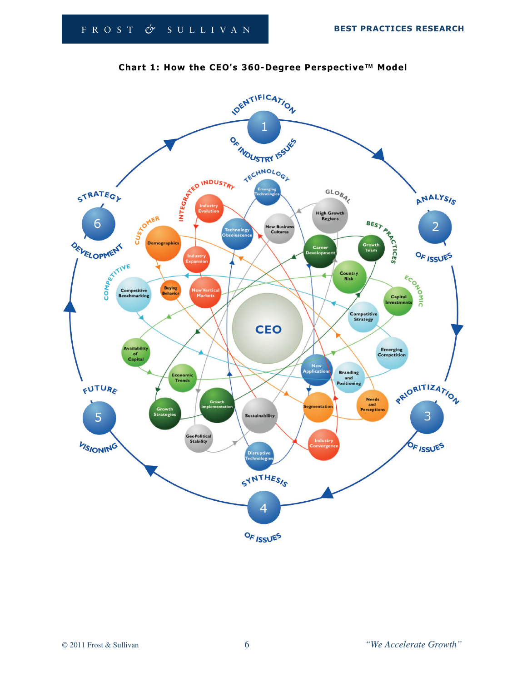

## Chart 1: How the CEO's 360-Degree Perspective**™** Model